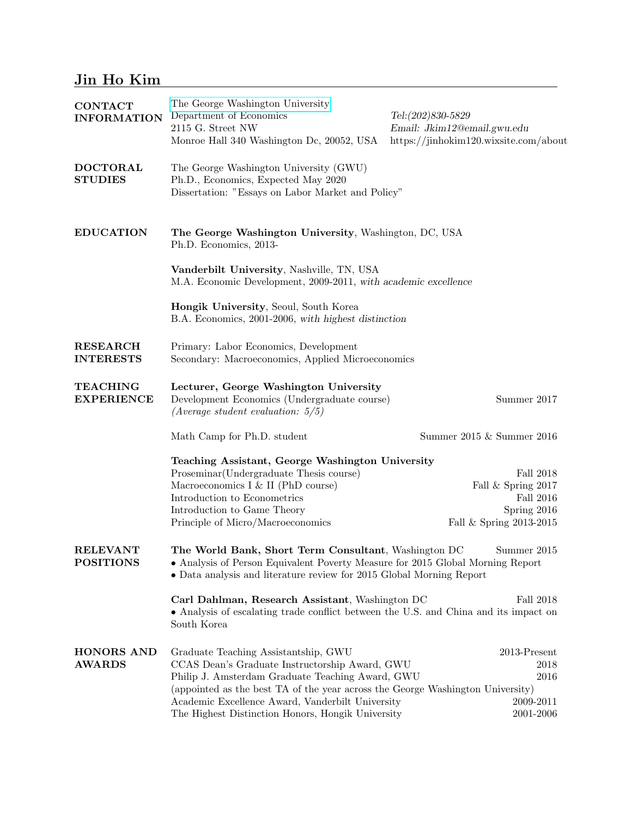# Jin Ho Kim

| <b>CONTACT</b><br><b>INFORMATION</b> | The George Washington University<br>Department of Economics<br>2115 G. Street NW<br>Monroe Hall 340 Washington Dc, 20052, USA                                                                                                 | Tel:(202)830-5829<br>Email: Jkim12@email.gwu.edu<br>https://jinhokim120.wixsite.com/about |
|--------------------------------------|-------------------------------------------------------------------------------------------------------------------------------------------------------------------------------------------------------------------------------|-------------------------------------------------------------------------------------------|
| <b>DOCTORAL</b><br><b>STUDIES</b>    | The George Washington University (GWU)<br>Ph.D., Economics, Expected May 2020<br>Dissertation: "Essays on Labor Market and Policy"                                                                                            |                                                                                           |
| <b>EDUCATION</b>                     | The George Washington University, Washington, DC, USA<br>Ph.D. Economics, 2013-                                                                                                                                               |                                                                                           |
|                                      | Vanderbilt University, Nashville, TN, USA<br>M.A. Economic Development, 2009-2011, with academic excellence                                                                                                                   |                                                                                           |
|                                      | Hongik University, Seoul, South Korea<br>B.A. Economics, 2001-2006, with highest distinction                                                                                                                                  |                                                                                           |
| <b>RESEARCH</b><br><b>INTERESTS</b>  | Primary: Labor Economics, Development<br>Secondary: Macroeconomics, Applied Microeconomics                                                                                                                                    |                                                                                           |
| <b>TEACHING</b><br><b>EXPERIENCE</b> | Lecturer, George Washington University<br>Development Economics (Undergraduate course)<br>(Average student evaluation: $5/5$ )                                                                                                | Summer 2017                                                                               |
|                                      | Math Camp for Ph.D. student                                                                                                                                                                                                   | Summer 2015 & Summer 2016                                                                 |
|                                      | Teaching Assistant, George Washington University<br>Proseminar (Undergraduate Thesis course)<br>Fall 2018                                                                                                                     |                                                                                           |
|                                      | Macroeconomics I & II (PhD course)                                                                                                                                                                                            | Fall & Spring 2017                                                                        |
|                                      | Introduction to Econometrics                                                                                                                                                                                                  | Fall 2016                                                                                 |
|                                      | Introduction to Game Theory<br>Principle of Micro/Macroeconomics                                                                                                                                                              | Spring 2016<br>Fall & Spring 2013-2015                                                    |
| <b>RELEVANT</b><br><b>POSITIONS</b>  | The World Bank, Short Term Consultant, Washington DC<br>Summer 2015<br>• Analysis of Person Equivalent Poverty Measure for 2015 Global Morning Report<br>• Data analysis and literature review for 2015 Global Morning Report |                                                                                           |
|                                      | Carl Dahlman, Research Assistant, Washington DC<br>Fall 2018<br>• Analysis of escalating trade conflict between the U.S. and China and its impact on<br>South Korea                                                           |                                                                                           |
| <b>HONORS AND</b><br><b>AWARDS</b>   | Graduate Teaching Assistantship, GWU                                                                                                                                                                                          | $2013$ -Present                                                                           |
|                                      | CCAS Dean's Graduate Instructorship Award, GWU                                                                                                                                                                                | 2018                                                                                      |
|                                      | Philip J. Amsterdam Graduate Teaching Award, GWU<br>2016                                                                                                                                                                      |                                                                                           |
|                                      | (appointed as the best TA of the year across the George Washington University)                                                                                                                                                |                                                                                           |
|                                      | Academic Excellence Award, Vanderbilt University                                                                                                                                                                              | 2009-2011                                                                                 |
|                                      | The Highest Distinction Honors, Hongik University                                                                                                                                                                             | 2001-2006                                                                                 |

<u> 1989 - Johann Barn, mars ar breist fan de Fryske kommunent fan de ferstjerke fan de ferstjerke fan de ferstj</u>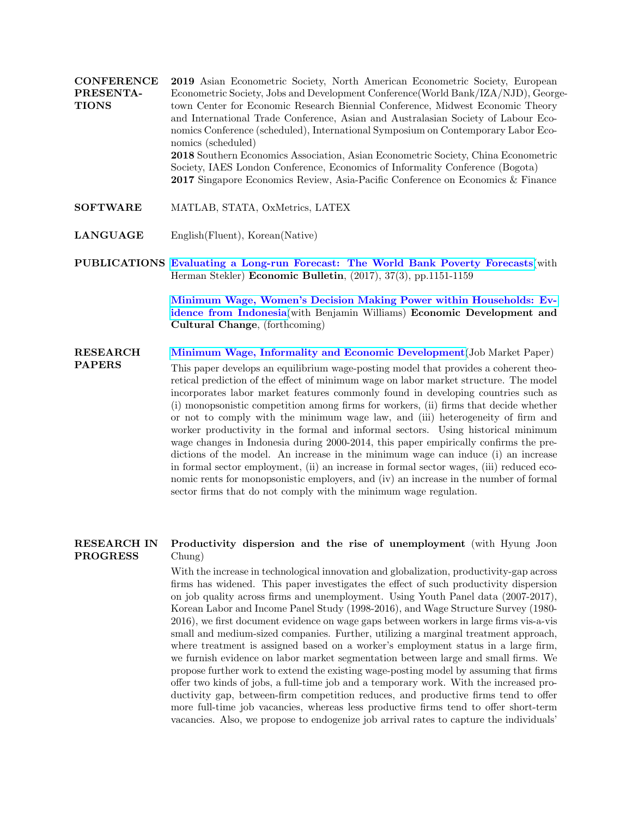**CONFERENCE** PRESENTA-TIONS 2019 Asian Econometric Society, North American Econometric Society, European Econometric Society, Jobs and Development Conference(World Bank/IZA/NJD), Georgetown Center for Economic Research Biennial Conference, Midwest Economic Theory and International Trade Conference, Asian and Australasian Society of Labour Economics Conference (scheduled), International Symposium on Contemporary Labor Economics (scheduled) 2018 Southern Economics Association, Asian Econometric Society, China Econometric Society, IAES London Conference, Economics of Informality Conference (Bogota) 2017 Singapore Economics Review, Asia-Pacific Conference on Economics & Finance

- SOFTWARE MATLAB, STATA, OxMetrics, LATEX
- LANGUAGE English(Fluent), Korean(Native)
- PUBLICATIONS [Evaluating a Long-run Forecast: The World Bank Poverty Forecasts](https://5b65bd4a-7629-40d9-8935-d29b1e0b4d0d.filesusr.com/ugd/f2c251_33371d267ade4d1da381a8dc10934f38.pdf)(with Herman Stekler) Economic Bulletin, (2017), 37(3), pp.1151-1159

[Minimum Wage, Women's Decision Making Power within Households: Ev](https://5b65bd4a-7629-40d9-8935-d29b1e0b4d0d.filesusr.com/ugd/f2c251_df1ddc1a302d44ebb0c5a40e8263d775.pdf)[idence from Indonesia](https://5b65bd4a-7629-40d9-8935-d29b1e0b4d0d.filesusr.com/ugd/f2c251_df1ddc1a302d44ebb0c5a40e8263d775.pdf)(with Benjamin Williams) Economic Development and Cultural Change, (forthcoming)

RESEARCH PAPERS [Minimum Wage, Informality and Economic Development](https://5b65bd4a-7629-40d9-8935-d29b1e0b4d0d.filesusr.com/ugd/f2c251_6094a5c110b443a69cc49353c7f9df3b.pdf)(Job Market Paper) This paper develops an equilibrium wage-posting model that provides a coherent theoretical prediction of the effect of minimum wage on labor market structure. The model incorporates labor market features commonly found in developing countries such as (i) monopsonistic competition among firms for workers, (ii) firms that decide whether or not to comply with the minimum wage law, and (iii) heterogeneity of firm and worker productivity in the formal and informal sectors. Using historical minimum wage changes in Indonesia during 2000-2014, this paper empirically confirms the predictions of the model. An increase in the minimum wage can induce (i) an increase in formal sector employment, (ii) an increase in formal sector wages, (iii) reduced economic rents for monopsonistic employers, and (iv) an increase in the number of formal sector firms that do not comply with the minimum wage regulation.

#### RESEARCH IN PROGRESS Productivity dispersion and the rise of unemployment (with Hyung Joon Chung)

With the increase in technological innovation and globalization, productivity-gap across firms has widened. This paper investigates the effect of such productivity dispersion on job quality across firms and unemployment. Using Youth Panel data (2007-2017), Korean Labor and Income Panel Study (1998-2016), and Wage Structure Survey (1980- 2016), we first document evidence on wage gaps between workers in large firms vis-a-vis small and medium-sized companies. Further, utilizing a marginal treatment approach, where treatment is assigned based on a worker's employment status in a large firm, we furnish evidence on labor market segmentation between large and small firms. We propose further work to extend the existing wage-posting model by assuming that firms offer two kinds of jobs, a full-time job and a temporary work. With the increased productivity gap, between-firm competition reduces, and productive firms tend to offer more full-time job vacancies, whereas less productive firms tend to offer short-term vacancies. Also, we propose to endogenize job arrival rates to capture the individuals'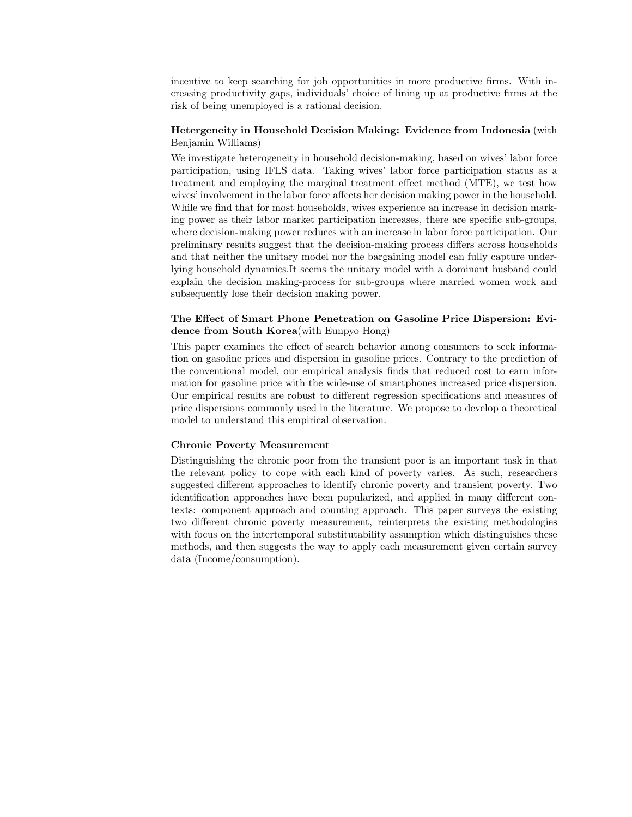incentive to keep searching for job opportunities in more productive firms. With increasing productivity gaps, individuals' choice of lining up at productive firms at the risk of being unemployed is a rational decision.

#### Hetergeneity in Household Decision Making: Evidence from Indonesia (with Benjamin Williams)

We investigate heterogeneity in household decision-making, based on wives' labor force participation, using IFLS data. Taking wives' labor force participation status as a treatment and employing the marginal treatment effect method (MTE), we test how wives' involvement in the labor force affects her decision making power in the household. While we find that for most households, wives experience an increase in decision marking power as their labor market participation increases, there are specific sub-groups, where decision-making power reduces with an increase in labor force participation. Our preliminary results suggest that the decision-making process differs across households and that neither the unitary model nor the bargaining model can fully capture underlying household dynamics.It seems the unitary model with a dominant husband could explain the decision making-process for sub-groups where married women work and subsequently lose their decision making power.

### The Effect of Smart Phone Penetration on Gasoline Price Dispersion: Evidence from South Korea(with Eunpyo Hong)

This paper examines the effect of search behavior among consumers to seek information on gasoline prices and dispersion in gasoline prices. Contrary to the prediction of the conventional model, our empirical analysis finds that reduced cost to earn information for gasoline price with the wide-use of smartphones increased price dispersion. Our empirical results are robust to different regression specifications and measures of price dispersions commonly used in the literature. We propose to develop a theoretical model to understand this empirical observation.

#### Chronic Poverty Measurement

Distinguishing the chronic poor from the transient poor is an important task in that the relevant policy to cope with each kind of poverty varies. As such, researchers suggested different approaches to identify chronic poverty and transient poverty. Two identification approaches have been popularized, and applied in many different contexts: component approach and counting approach. This paper surveys the existing two different chronic poverty measurement, reinterprets the existing methodologies with focus on the intertemporal substitutability assumption which distinguishes these methods, and then suggests the way to apply each measurement given certain survey data (Income/consumption).